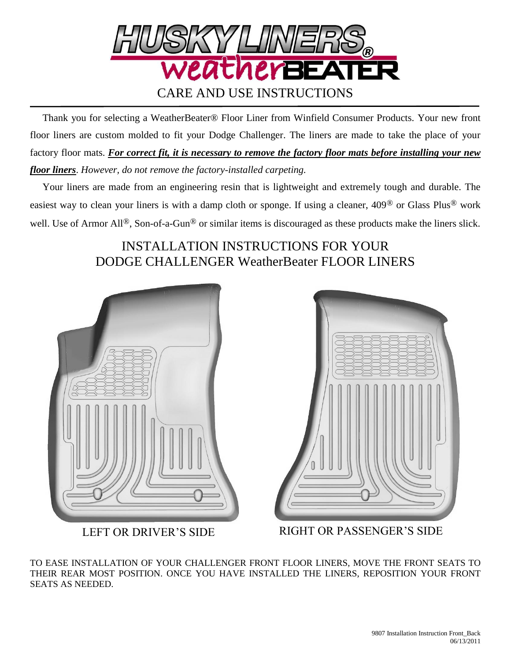

 Thank you for selecting a WeatherBeater® Floor Liner from Winfield Consumer Products. Your new front floor liners are custom molded to fit your Dodge Challenger. The liners are made to take the place of your factory floor mats. *For correct fit, it is necessary to remove the factory floor mats before installing your new floor liners*. *However, do not remove the factory-installed carpeting.*

 Your liners are made from an engineering resin that is lightweight and extremely tough and durable. The easiest way to clean your liners is with a damp cloth or sponge. If using a cleaner, 409® or Glass Plus® work well. Use of Armor All<sup>®</sup>, Son-of-a-Gun<sup>®</sup> or similar items is discouraged as these products make the liners slick.

## INSTALLATION INSTRUCTIONS FOR YOUR DODGE CHALLENGER WeatherBeater FLOOR LINERS





LEFT OR DRIVER'S SIDE RIGHT OR PASSENGER'S SIDE

TO EASE INSTALLATION OF YOUR CHALLENGER FRONT FLOOR LINERS, MOVE THE FRONT SEATS TO THEIR REAR MOST POSITION. ONCE YOU HAVE INSTALLED THE LINERS, REPOSITION YOUR FRONT SEATS AS NEEDED.